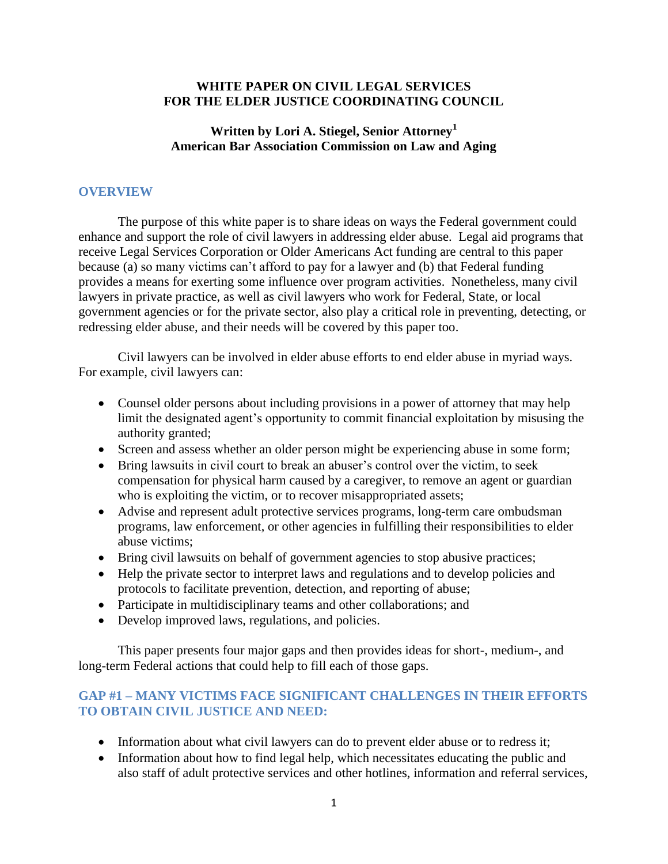#### **WHITE PAPER ON CIVIL LEGAL SERVICES FOR THE ELDER JUSTICE COORDINATING COUNCIL**

#### **Written by Lori A. Stiegel, Senior Attorney<sup>1</sup> American Bar Association Commission on Law and Aging**

# **OVERVIEW**

The purpose of this white paper is to share ideas on ways the Federal government could enhance and support the role of civil lawyers in addressing elder abuse. Legal aid programs that receive Legal Services Corporation or Older Americans Act funding are central to this paper because (a) so many victims can't afford to pay for a lawyer and (b) that Federal funding provides a means for exerting some influence over program activities. Nonetheless, many civil lawyers in private practice, as well as civil lawyers who work for Federal, State, or local government agencies or for the private sector, also play a critical role in preventing, detecting, or redressing elder abuse, and their needs will be covered by this paper too.

Civil lawyers can be involved in elder abuse efforts to end elder abuse in myriad ways. For example, civil lawyers can:

- Counsel older persons about including provisions in a power of attorney that may help limit the designated agent's opportunity to commit financial exploitation by misusing the authority granted;
- Screen and assess whether an older person might be experiencing abuse in some form;
- Bring lawsuits in civil court to break an abuser's control over the victim, to seek compensation for physical harm caused by a caregiver, to remove an agent or guardian who is exploiting the victim, or to recover misappropriated assets;
- Advise and represent adult protective services programs, long-term care ombudsman programs, law enforcement, or other agencies in fulfilling their responsibilities to elder abuse victims;
- Bring civil lawsuits on behalf of government agencies to stop abusive practices;
- Help the private sector to interpret laws and regulations and to develop policies and protocols to facilitate prevention, detection, and reporting of abuse;
- Participate in multidisciplinary teams and other collaborations; and
- Develop improved laws, regulations, and policies.

This paper presents four major gaps and then provides ideas for short-, medium-, and long-term Federal actions that could help to fill each of those gaps.

## **GAP #1 – MANY VICTIMS FACE SIGNIFICANT CHALLENGES IN THEIR EFFORTS TO OBTAIN CIVIL JUSTICE AND NEED:**

- Information about what civil lawyers can do to prevent elder abuse or to redress it;
- Information about how to find legal help, which necessitates educating the public and also staff of adult protective services and other hotlines, information and referral services,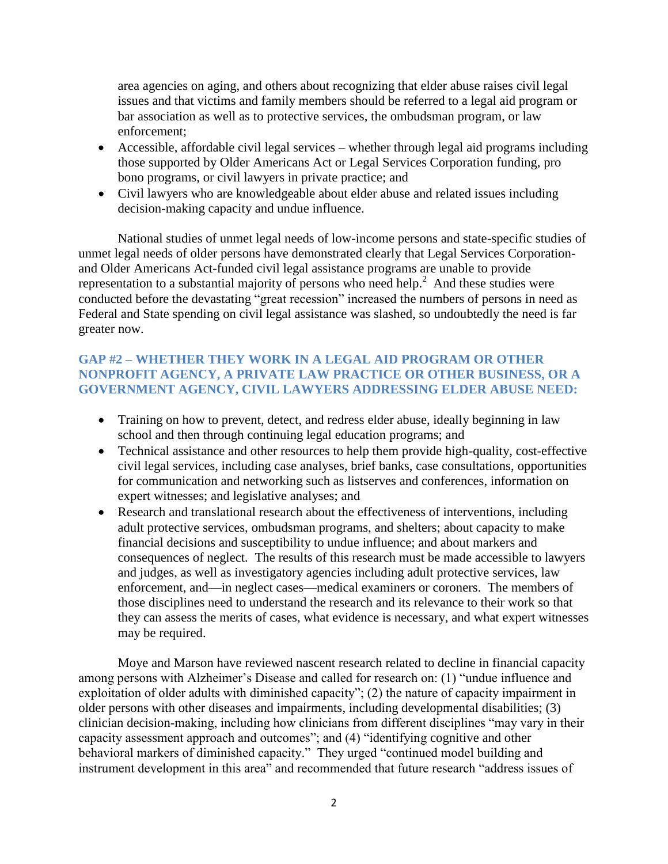area agencies on aging, and others about recognizing that elder abuse raises civil legal issues and that victims and family members should be referred to a legal aid program or bar association as well as to protective services, the ombudsman program, or law enforcement;

- Accessible, affordable civil legal services whether through legal aid programs including those supported by Older Americans Act or Legal Services Corporation funding, pro bono programs, or civil lawyers in private practice; and
- Civil lawyers who are knowledgeable about elder abuse and related issues including decision-making capacity and undue influence.

National studies of unmet legal needs of low-income persons and state-specific studies of unmet legal needs of older persons have demonstrated clearly that Legal Services Corporationand Older Americans Act-funded civil legal assistance programs are unable to provide representation to a substantial majority of persons who need help.<sup>2</sup> And these studies were conducted before the devastating "great recession" increased the numbers of persons in need as Federal and State spending on civil legal assistance was slashed, so undoubtedly the need is far greater now.

#### **GAP #2 – WHETHER THEY WORK IN A LEGAL AID PROGRAM OR OTHER NONPROFIT AGENCY, A PRIVATE LAW PRACTICE OR OTHER BUSINESS, OR A GOVERNMENT AGENCY, CIVIL LAWYERS ADDRESSING ELDER ABUSE NEED:**

- Training on how to prevent, detect, and redress elder abuse, ideally beginning in law school and then through continuing legal education programs; and
- Technical assistance and other resources to help them provide high-quality, cost-effective civil legal services, including case analyses, brief banks, case consultations, opportunities for communication and networking such as listserves and conferences, information on expert witnesses; and legislative analyses; and
- Research and translational research about the effectiveness of interventions, including adult protective services, ombudsman programs, and shelters; about capacity to make financial decisions and susceptibility to undue influence; and about markers and consequences of neglect. The results of this research must be made accessible to lawyers and judges, as well as investigatory agencies including adult protective services, law enforcement, and—in neglect cases—medical examiners or coroners. The members of those disciplines need to understand the research and its relevance to their work so that they can assess the merits of cases, what evidence is necessary, and what expert witnesses may be required.

Moye and Marson have reviewed nascent research related to decline in financial capacity among persons with Alzheimer's Disease and called for research on: (1) "undue influence and exploitation of older adults with diminished capacity"; (2) the nature of capacity impairment in older persons with other diseases and impairments, including developmental disabilities; (3) clinician decision-making, including how clinicians from different disciplines "may vary in their capacity assessment approach and outcomes"; and (4) "identifying cognitive and other behavioral markers of diminished capacity." They urged "continued model building and instrument development in this area" and recommended that future research "address issues of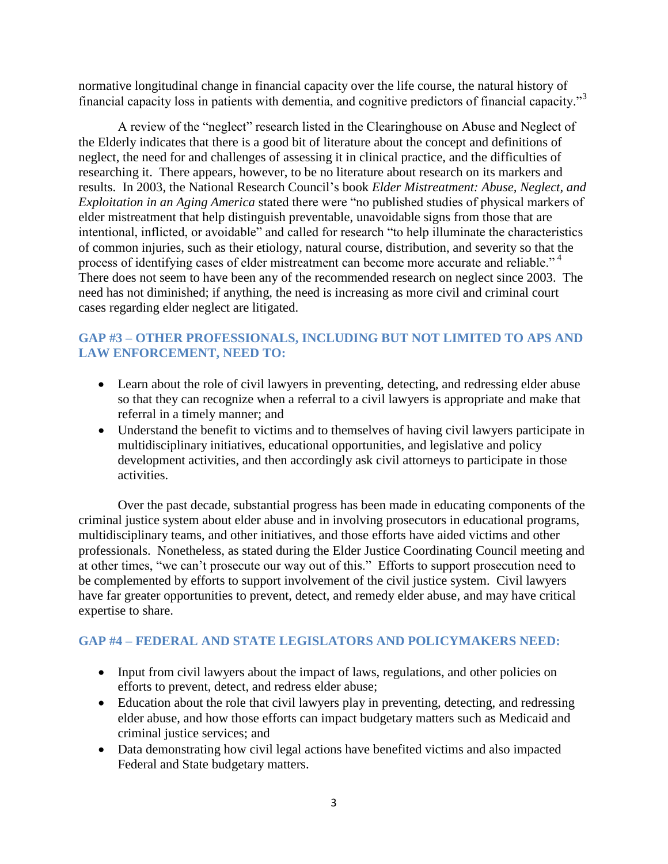normative longitudinal change in financial capacity over the life course, the natural history of financial capacity loss in patients with dementia, and cognitive predictors of financial capacity."<sup>3</sup>

A review of the "neglect" research listed in the Clearinghouse on Abuse and Neglect of the Elderly indicates that there is a good bit of literature about the concept and definitions of neglect, the need for and challenges of assessing it in clinical practice, and the difficulties of researching it. There appears, however, to be no literature about research on its markers and results. In 2003, the National Research Council's book *Elder Mistreatment: Abuse, Neglect, and Exploitation in an Aging America* stated there were "no published studies of physical markers of elder mistreatment that help distinguish preventable, unavoidable signs from those that are intentional, inflicted, or avoidable" and called for research "to help illuminate the characteristics of common injuries, such as their etiology, natural course, distribution, and severity so that the process of identifying cases of elder mistreatment can become more accurate and reliable."<sup>4</sup> There does not seem to have been any of the recommended research on neglect since 2003. The need has not diminished; if anything, the need is increasing as more civil and criminal court cases regarding elder neglect are litigated.

# **GAP #3 – OTHER PROFESSIONALS, INCLUDING BUT NOT LIMITED TO APS AND LAW ENFORCEMENT, NEED TO:**

- Learn about the role of civil lawyers in preventing, detecting, and redressing elder abuse so that they can recognize when a referral to a civil lawyers is appropriate and make that referral in a timely manner; and
- Understand the benefit to victims and to themselves of having civil lawyers participate in multidisciplinary initiatives, educational opportunities, and legislative and policy development activities, and then accordingly ask civil attorneys to participate in those activities.

Over the past decade, substantial progress has been made in educating components of the criminal justice system about elder abuse and in involving prosecutors in educational programs, multidisciplinary teams, and other initiatives, and those efforts have aided victims and other professionals. Nonetheless, as stated during the Elder Justice Coordinating Council meeting and at other times, "we can't prosecute our way out of this." Efforts to support prosecution need to be complemented by efforts to support involvement of the civil justice system. Civil lawyers have far greater opportunities to prevent, detect, and remedy elder abuse, and may have critical expertise to share.

## **GAP #4 – FEDERAL AND STATE LEGISLATORS AND POLICYMAKERS NEED:**

- Input from civil lawyers about the impact of laws, regulations, and other policies on efforts to prevent, detect, and redress elder abuse;
- Education about the role that civil lawyers play in preventing, detecting, and redressing elder abuse, and how those efforts can impact budgetary matters such as Medicaid and criminal justice services; and
- Data demonstrating how civil legal actions have benefited victims and also impacted Federal and State budgetary matters.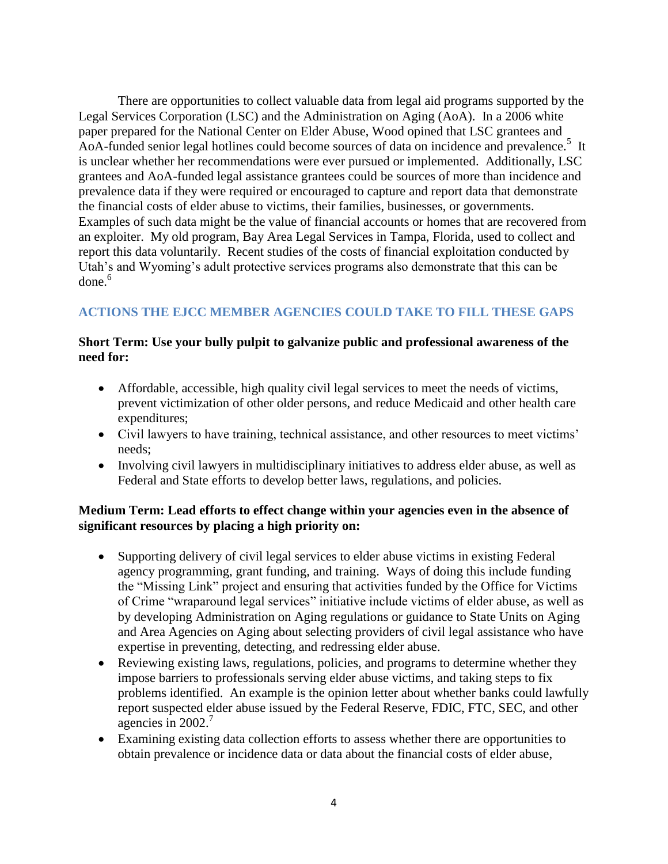There are opportunities to collect valuable data from legal aid programs supported by the Legal Services Corporation (LSC) and the Administration on Aging (AoA). In a 2006 white paper prepared for the National Center on Elder Abuse, Wood opined that LSC grantees and AoA-funded senior legal hotlines could become sources of data on incidence and prevalence.<sup>5</sup> It is unclear whether her recommendations were ever pursued or implemented. Additionally, LSC grantees and AoA-funded legal assistance grantees could be sources of more than incidence and prevalence data if they were required or encouraged to capture and report data that demonstrate the financial costs of elder abuse to victims, their families, businesses, or governments. Examples of such data might be the value of financial accounts or homes that are recovered from an exploiter. My old program, Bay Area Legal Services in Tampa, Florida, used to collect and report this data voluntarily. Recent studies of the costs of financial exploitation conducted by Utah's and Wyoming's adult protective services programs also demonstrate that this can be done.<sup>6</sup>

# **ACTIONS THE EJCC MEMBER AGENCIES COULD TAKE TO FILL THESE GAPS**

#### **Short Term: Use your bully pulpit to galvanize public and professional awareness of the need for:**

- Affordable, accessible, high quality civil legal services to meet the needs of victims, prevent victimization of other older persons, and reduce Medicaid and other health care expenditures;
- Civil lawyers to have training, technical assistance, and other resources to meet victims' needs;
- Involving civil lawyers in multidisciplinary initiatives to address elder abuse, as well as Federal and State efforts to develop better laws, regulations, and policies.

## **Medium Term: Lead efforts to effect change within your agencies even in the absence of significant resources by placing a high priority on:**

- Supporting delivery of civil legal services to elder abuse victims in existing Federal agency programming, grant funding, and training. Ways of doing this include funding the "Missing Link" project and ensuring that activities funded by the Office for Victims of Crime "wraparound legal services" initiative include victims of elder abuse, as well as by developing Administration on Aging regulations or guidance to State Units on Aging and Area Agencies on Aging about selecting providers of civil legal assistance who have expertise in preventing, detecting, and redressing elder abuse.
- Reviewing existing laws, regulations, policies, and programs to determine whether they impose barriers to professionals serving elder abuse victims, and taking steps to fix problems identified. An example is the opinion letter about whether banks could lawfully report suspected elder abuse issued by the Federal Reserve, FDIC, FTC, SEC, and other agencies in  $2002.<sup>7</sup>$
- Examining existing data collection efforts to assess whether there are opportunities to obtain prevalence or incidence data or data about the financial costs of elder abuse,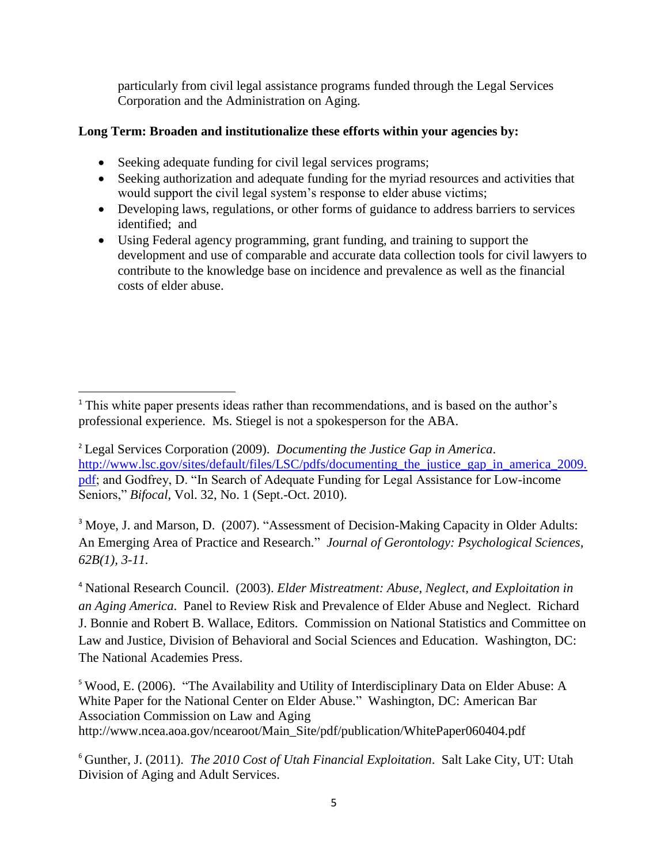particularly from civil legal assistance programs funded through the Legal Services Corporation and the Administration on Aging.

# **Long Term: Broaden and institutionalize these efforts within your agencies by:**

• Seeking adequate funding for civil legal services programs;

l

- Seeking authorization and adequate funding for the myriad resources and activities that would support the civil legal system's response to elder abuse victims;
- Developing laws, regulations, or other forms of guidance to address barriers to services identified; and
- Using Federal agency programming, grant funding, and training to support the development and use of comparable and accurate data collection tools for civil lawyers to contribute to the knowledge base on incidence and prevalence as well as the financial costs of elder abuse.

<sup>3</sup> Moye, J. and Marson, D. (2007). "Assessment of Decision-Making Capacity in Older Adults: An Emerging Area of Practice and Research." *Journal of Gerontology: Psychological Sciences, 62B(1), 3-11.* 

<sup>4</sup> National Research Council. (2003). *Elder Mistreatment: Abuse, Neglect, and Exploitation in an Aging America*. Panel to Review Risk and Prevalence of Elder Abuse and Neglect. Richard J. Bonnie and Robert B. Wallace, Editors. Commission on National Statistics and Committee on Law and Justice, Division of Behavioral and Social Sciences and Education. Washington, DC: The National Academies Press.

<sup>5</sup> Wood, E. (2006). "The Availability and Utility of Interdisciplinary Data on Elder Abuse: A White Paper for the National Center on Elder Abuse." Washington, DC: American Bar Association Commission on Law and Aging [http://www.ncea.aoa.gov/ncearoot/Main\\_Site/pdf/publication/WhitePaper060404.pdf](http://www.ncea.aoa.gov/ncearoot/Main_Site/pdf/publication/WhitePaper060404.pdf)

<sup>6</sup> Gunther, J. (2011). *The 2010 Cost of Utah Financial Exploitation*. Salt Lake City, UT: Utah Division of Aging and Adult Services.

<sup>&</sup>lt;sup>1</sup> This white paper presents ideas rather than recommendations, and is based on the author's professional experience. Ms. Stiegel is not a spokesperson for the ABA.

<sup>2</sup> Legal Services Corporation (2009). *Documenting the Justice Gap in America*. http://www.lsc.gov/sites/default/files/LSC/pdfs/documenting the justice gap in america 2009. [pdf;](http://www.lsc.gov/sites/default/files/LSC/pdfs/documenting_the_justice_gap_in_america_2009.pdf) and Godfrey, D. "In Search of Adequate Funding for Legal Assistance for Low-income Seniors," *Bifocal*, Vol. 32, No. 1 (Sept.-Oct. 2010).